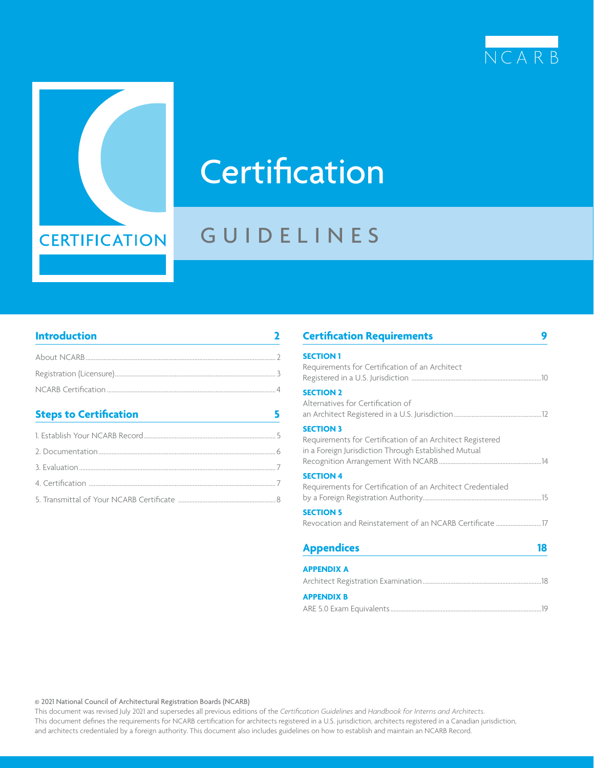



# **Certification**

## GUIDELINES

### **[Introduction](#page-1-0) 2**

| About NCARB 2 |                |
|---------------|----------------|
|               |                |
|               |                |
|               |                |
|               | $\overline{A}$ |

### **[Steps to Certification](#page-4-0) 5**

| <b>Certification Requirements</b>                                                                                                     |    |
|---------------------------------------------------------------------------------------------------------------------------------------|----|
| <b>SECTION 1</b><br>Requirements for Certification of an Architect                                                                    |    |
| <b>SECTION 2</b><br>Alternatives for Certification of                                                                                 |    |
| <b>SECTION 3</b><br>Requirements for Certification of an Architect Registered<br>in a Foreign Jurisdiction Through Established Mutual |    |
| <b>SECTION 4</b><br>Requirements for Certification of an Architect Credentialed                                                       |    |
| <b>SECTION 5</b>                                                                                                                      |    |
| <b>Appendices</b>                                                                                                                     | 18 |
| <b>APPENDIX A</b>                                                                                                                     |    |
| <b>APPENDIX B</b>                                                                                                                     |    |

[ARE 5.0 Exam Equivalents.............................................................................................19](#page-18-0)

© 2021 National Council of Architectural Registration Boards (NCARB)

This document was revised July 2021 and supersedes all previous editions of the *Certification Guidelines* and *Handbook for Interns and Architects*. This document defines the requirements for NCARB certification for architects registered in a U.S. jurisdiction, architects registered in a Canadian jurisdiction, and architects credentialed by a foreign authority. This document also includes guidelines on how to establish and maintain an NCARB Record.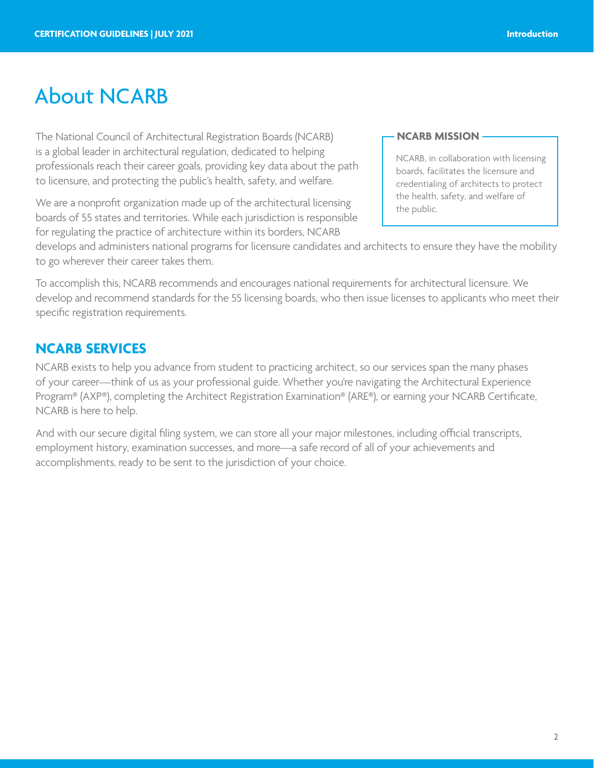## <span id="page-1-0"></span>About NCARB

The National Council of Architectural Registration Boards (NCARB) is a global leader in architectural regulation, dedicated to helping professionals reach their career goals, providing key data about the path to licensure, and protecting the public's health, safety, and welfare.

We are a nonprofit organization made up of the architectural licensing boards of 55 states and territories. While each jurisdiction is responsible for regulating the practice of architecture within its borders, NCARB

### **NCARB MISSION**

NCARB, in collaboration with licensing boards, facilitates the licensure and credentialing of architects to protect the health, safety, and welfare of the public.

develops and administers national programs for licensure candidates and architects to ensure they have the mobility to go wherever their career takes them.

To accomplish this, NCARB recommends and encourages national requirements for architectural licensure. We develop and recommend standards for the 55 licensing boards, who then issue licenses to applicants who meet their specific registration requirements.

## **NCARB SERVICES**

NCARB exists to help you advance from student to practicing architect, so our services span the many phases of your career—think of us as your professional guide. Whether you're navigating the Architectural Experience Program® (AXP®), completing the Architect Registration Examination® (ARE®), or earning your NCARB Certificate, NCARB is here to help.

And with our secure digital filing system, we can store all your major milestones, including official transcripts, employment history, examination successes, and more—a safe record of all of your achievements and accomplishments, ready to be sent to the jurisdiction of your choice.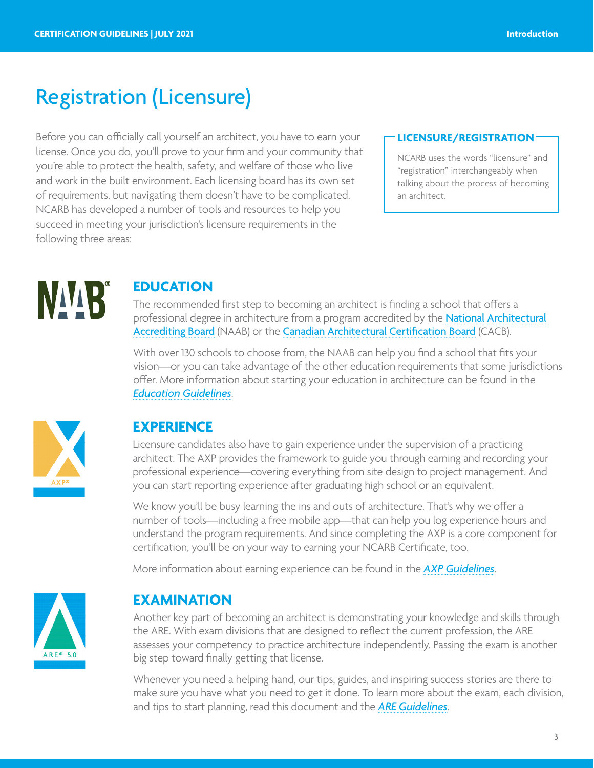## <span id="page-2-0"></span>Registration (Licensure)

Before you can officially call yourself an architect, you have to earn your license. Once you do, you'll prove to your firm and your community that you're able to protect the health, safety, and welfare of those who live and work in the built environment. Each licensing board has its own set of requirements, but navigating them doesn't have to be complicated. NCARB has developed a number of tools and resources to help you succeed in meeting your jurisdiction's licensure requirements in the following three areas:

### **LICENSURE/REGISTRATION**

NCARB uses the words "licensure" and "registration" interchangeably when talking about the process of becoming an architect.



## **EDUCATION**

The recommended first step to becoming an architect is finding a school that offers a professional degree in architecture from a program accredited by the [National Architectural](http://www.naab.org/home)  [Accrediting Board](http://www.naab.org/home) (NAAB) or the [Canadian Architectural Certification Board](http://cacb.ca/en/home/) (CACB).

With over 130 schools to choose from, the NAAB can help you find a school that fits your vision—or you can take advantage of the other education requirements that some jurisdictions offer. More information about starting your education in architecture can be found in th[e](https://www.ncarb.org/sites/default/files/Main%20Website/Data%20&%20Resources/Guidelines/EducationGuidelines.pdf) *[Education Guidelines](https://www.ncarb.org/sites/default/files/Main%20Website/Data%20&%20Resources/Guidelines/EducationGuidelines.pdf)*.



## **EXPERIENCE**

Licensure candidates also have to gain experience under the supervision of a practicing architect. The AXP provides the framework to guide you through earning and recording your professional experience—covering everything from site design to project management. And you can start reporting experience after graduating high school or an equivalent.

We know you'll be busy learning the ins and outs of architecture. That's why we offer a number of tools—including a free mobile app—that can help you log experience hours and understand the program requirements. And since completing the AXP is a core component for certification, you'll be on your way to earning your NCARB Certificate, too.

More information about earning experience can be found in the *[AXP Guidelines](http://www.ncarb.org/Experience-Through-Internships/Resources-for-Interns/~/media/Files/PDF/Guidelines/AXP-Guidelines.ashx)*.



## **EXAMINATION**

Another key part of becoming an architect is demonstrating your knowledge and skills through the ARE. With exam divisions that are designed to reflect the current profession, the ARE assesses your competency to practice architecture independently. Passing the exam is another big step toward finally getting that license.

Whenever you need a helping hand, our tips, guides, and inspiring success stories are there to make sure you have what you need to get it done. To learn more about the exam, each division, and tips to start planning, read this document and the *[ARE Guidelines](https://www.ncarb.org/sites/default/files/ARE-5-Guidelines.pdf)*.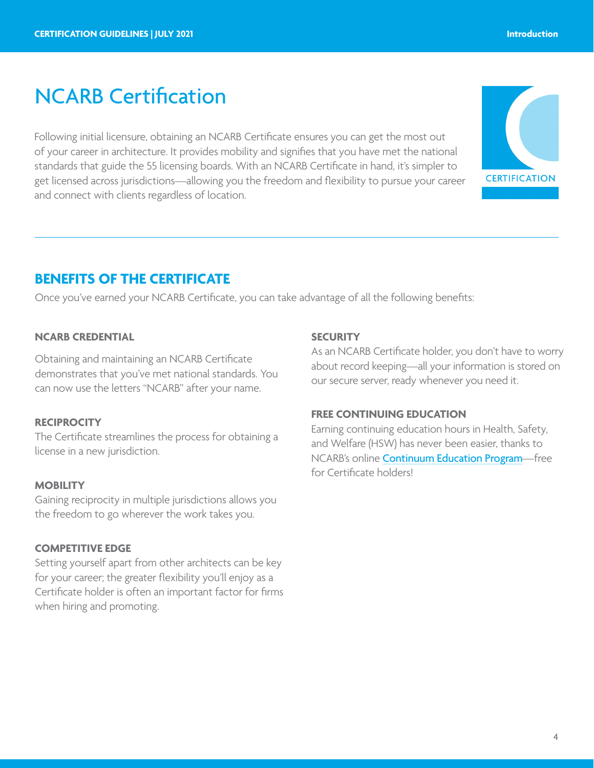## <span id="page-3-0"></span>NCARB Certification

Following initial licensure, obtaining an NCARB Certificate ensures you can get the most out of your career in architecture. It provides mobility and signifies that you have met the national standards that guide the 55 licensing boards. With an NCARB Certificate in hand, it's simpler to get licensed across jurisdictions—allowing you the freedom and flexibility to pursue your career and connect with clients regardless of location.



## **BENEFITS OF THE CERTIFICATE**

Once you've earned your NCARB Certificate, you can take advantage of all the following benefits:

### **NCARB CREDENTIAL**

Obtaining and maintaining an NCARB Certificate demonstrates that you've met national standards. You can now use the letters "NCARB" after your name.

### **RECIPROCITY**

The Certificate streamlines the process for obtaining a license in a new jurisdiction.

### **MOBILITY**

Gaining reciprocity in multiple jurisdictions allows you the freedom to go wherever the work takes you.

### **COMPETITIVE EDGE**

Setting yourself apart from other architects can be key for your career; the greater flexibility you'll enjoy as a Certificate holder is often an important factor for firms when hiring and promoting.

### **SECURITY**

As an NCARB Certificate holder, you don't have to worry about record keeping—all your information is stored on our secure server, ready whenever you need it.

### **FREE CONTINUING EDUCATION**

Earning continuing education hours in Health, Safety, and Welfare (HSW) has never been easier, thanks to NCARB's online [Continuum Education Program](https://ce.ncarb.org/)—free for Certificate holders!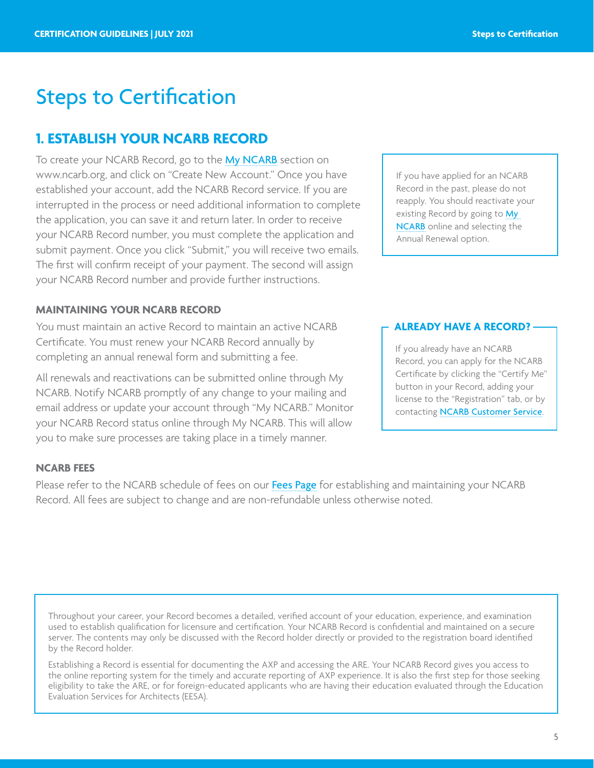## <span id="page-4-0"></span>**1. ESTABLISH YOUR NCARB RECORD**

To create your NCARB Record, go to the [My NCARB](https://my.ncarb.org/Home/) section on www.ncarb.org, and click on "Create New Account." Once you have established your account, add the NCARB Record service. If you are interrupted in the process or need additional information to complete the application, you can save it and return later. In order to receive your NCARB Record number, you must complete the application and submit payment. Once you click "Submit," you will receive two emails. The first will confirm receipt of your payment. The second will assign your NCARB Record number and provide further instructions.

### **MAINTAINING YOUR NCARB RECORD**

You must maintain an active Record to maintain an active NCARB Certificate. You must renew your NCARB Record annually by completing an annual renewal form and submitting a fee.

All renewals and reactivations can be submitted online through My NCARB. Notify NCARB promptly of any change to your mailing and email address or update your account through "My NCARB." Monitor your NCARB Record status online through [My NCARB](https://my.ncarb.org/Home/). This will allow you to make sure processes are taking place in a timely manner.

### If you have applied for an NCARB Record in the past, please do not reapply. You should reactivate your existing Record by going to My [NCARB](https://my.ncarb.org/Home/) online and selecting the Annual Renewal option.

### **ALREADY HAVE A RECORD?**

If you already have an NCARB Record, you can apply for the NCARB Certificate by clicking the "Certify Me" button in your Record, adding your license to the "Registration" tab, or by contacting **[NCARB Customer Service](https://www.ncarb.org/contact)**.

### **NCARB FEES**

Please refer to the NCARB schedule of fees on our [Fees Page](http://www.ncarb.org/Certification-and-Reciprocity/Standard-Path-to-Certification/Certification-Fees.aspx) for establishing and maintaining your NCARB Record. All fees are subject to change and are non-refundable unless otherwise noted.

Throughout your career, your Record becomes a detailed, verified account of your education, experience, and examination used to establish qualification for licensure and certification. Your NCARB Record is confidential and maintained on a secure server. The contents may only be discussed with the Record holder directly or provided to the registration board identified by the Record holder.

Establishing a Record is essential for documenting the AXP and accessing the ARE. Your NCARB Record gives you access to the online reporting system for the timely and accurate reporting of AXP experience. It is also the first step for those seeking eligibility to take the ARE, or for foreign-educated applicants who are having their education evaluated through the Education Evaluation Services for Architects (EESA).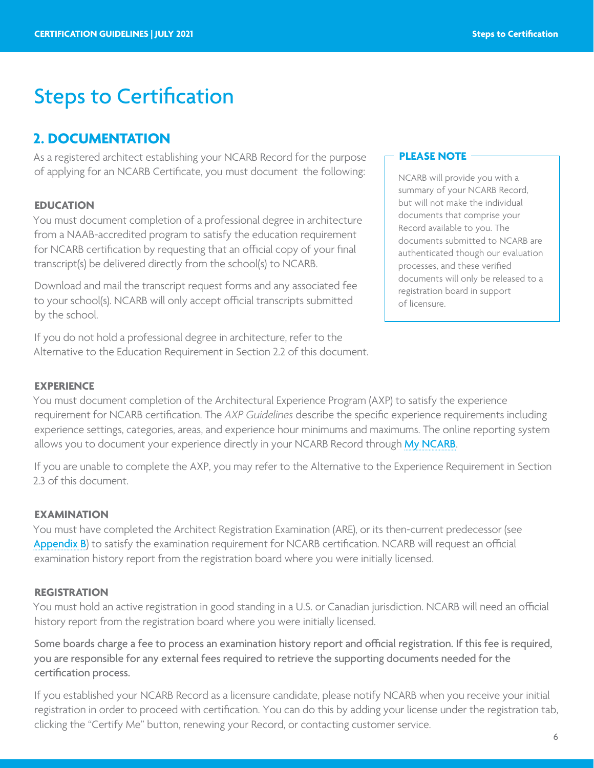## <span id="page-5-0"></span>**2. DOCUMENTATION**

As a registered architect establishing your NCARB Record for the purpose of applying for an NCARB Certificate, you must document the following:

### **EDUCATION**

You must document completion of a professional degree in architecture from a NAAB-accredited program to satisfy the education requirement for NCARB certification by requesting that an official copy of your final transcript(s) be delivered directly from the school(s) to NCARB.

Download and mail the transcript request forms and any associated fee to your school(s). NCARB will only accept official transcripts submitted by the school.

If you do not hold a professional degree in architecture, refer to the Alternative to the Education Requirement in Section 2.2 of this document.

#### **PLEASE NOTE**

NCARB will provide you with a summary of your NCARB Record, but will not make the individual documents that comprise your Record available to you. The documents submitted to NCARB are authenticated though our evaluation processes, and these verified documents will only be released to a registration board in support of licensure.

### **EXPERIENCE**

You must document completion of the Architectural Experience Program (AXP) to satisfy the experience requirement for NCARB certification. The *AXP Guidelines* describe the specific experience requirements including experience settings, categories, areas, and experience hour minimums and maximums. The online reporting system allows you to document your experience directly in your NCARB Record through [My NCARB](https://my.ncarb.org/Home/).

If you are unable to complete the AXP, you may refer to the Alternative to the Experience Requirement in Section 2.3 of this document.

### **EXAMINATION**

You must have completed the Architect Registration Examination (ARE), or its then-current predecessor (se[e](#page-18-0) [Appendix B](#page-18-0)) to satisfy the examination requirement for NCARB certification. NCARB will request an official examination history report from the registration board where you were initially licensed.

#### **REGISTRATION**

You must hold an active registration in good standing in a U.S. or Canadian jurisdiction. NCARB will need an official history report from the registration board where you were initially licensed.

Some boards charge a fee to process an examination history report and official registration. If this fee is required, you are responsible for any external fees required to retrieve the supporting documents needed for the certification process.

If you established your NCARB Record as a licensure candidate, please notify NCARB when you receive your initial registration in order to proceed with certification. You can do this by adding your license under the registration tab, clicking the "Certify Me" button, renewing your Record, or contacting customer service.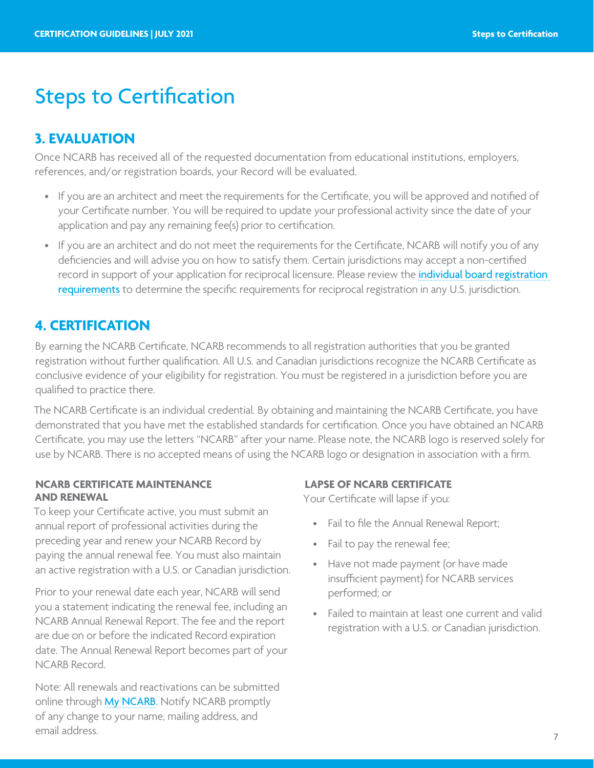## <span id="page-6-0"></span>**3. EVALUATION**

Once NCARB has received all of the requested documentation from educational institutions, employers, references, and/or registration boards, your Record will be evaluated.

- If you are an architect and meet the requirements for the Certificate, you will be approved and notified of your Certificate number. You will be required to update your professional activity since the date of your application and pay any remaining fee(s) prior to certification.
- If you are an architect and do not meet the requirements for the Certificate, NCARB will notify you of any deficiencies and will advise you on how to satisfy them. Certain jurisdictions may accept a non-certified record in support of your application for reciprocal licensure. Please review the *individual board registration* [requirements](https://www.ncarb.org/get-licensed/licensing-requirements-tool) to determine the specific requirements for reciprocal registration in any U.S. jurisdiction.

## **4. CERTIFICATION**

By earning the NCARB Certificate, NCARB recommends to all registration authorities that you be granted registration without further qualification. All U.S. and Canadian jurisdictions recognize the NCARB Certificate as conclusive evidence of your eligibility for registration. You must be registered in a jurisdiction before you are qualified to practice there.

The NCARB Certificate is an individual credential. By obtaining and maintaining the NCARB Certificate, you have demonstrated that you have met the established standards for certification. Once you have obtained an NCARB Certificate, you may use the letters "NCARB" after your name. Please note, the NCARB logo is reserved solely for use by NCARB. There is no accepted means of using the NCARB logo or designation in association with a firm.

### **NCARB CERTIFICATE MAINTENANCE AND RENEWAL**

To keep your Certificate active, you must submit an annual report of professional activities during the preceding year and renew your NCARB Record by paying the annual renewal fee. You must also maintain an active registration with a U.S. or Canadian jurisdiction.

Prior to your renewal date each year, NCARB will send you a statement indicating the renewal fee, including an NCARB Annual Renewal Report. The fee and the report are due on or before the indicated Record expiration date. The Annual Renewal Report becomes part of your NCARB Record.

Note: All renewals and reactivations can be submitted online through [My NCARB](https://my.ncarb.org/Home/). Notify NCARB promptly of any change to your name, mailing address, and email address.

### **LAPSE OF NCARB CERTIFICATE**

Your Certificate will lapse if you:

- Fail to file the Annual Renewal Report;
- Fail to pay the renewal fee;
- Have not made payment (or have made insufficient payment) for NCARB services performed; or
- Failed to maintain at least one current and valid registration with a U.S. or Canadian jurisdiction.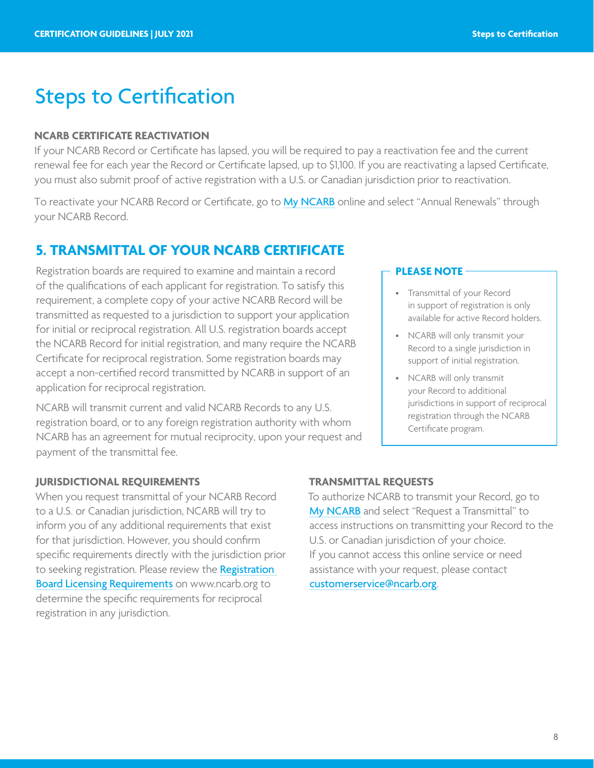### <span id="page-7-0"></span>**NCARB CERTIFICATE REACTIVATION**

If your NCARB Record or Certificate has lapsed, you will be required to pay a reactivation fee and the current renewal fee for each year the Record or Certificate lapsed, up to \$1,100. If you are reactivating a lapsed Certificate, you must also submit proof of active registration with a U.S. or Canadian jurisdiction prior to reactivation.

To reactivate your NCARB Record or Certificate, go to [My NCARB](https://my.ncarb.org/Home/) online and select "Annual Renewals" through your NCARB Record.

## **5. TRANSMITTAL OF YOUR NCARB CERTIFICATE**

Registration boards are required to examine and maintain a record of the qualifications of each applicant for registration. To satisfy this requirement, a complete copy of your active NCARB Record will be transmitted as requested to a jurisdiction to support your application for initial or reciprocal registration. All U.S. registration boards accept the NCARB Record for initial registration, and many require the NCARB Certificate for reciprocal registration. Some registration boards may accept a non-certified record transmitted by NCARB in support of an application for reciprocal registration.

NCARB will transmit current and valid NCARB Records to any U.S. registration board, or to any foreign registration authority with whom NCARB has an agreement for mutual reciprocity, upon your request and payment of the transmittal fee.

### **PLEASE NOTE**

- Transmittal of your Record in support of registration is only available for active Record holders.
- NCARB will only transmit your Record to a single jurisdiction in support of initial registration.
- NCARB will only transmit your Record to additional jurisdictions in support of reciprocal registration through the NCARB Certificate program.

### **JURISDICTIONAL REQUIREMENTS**

When you request transmittal of your NCARB Record to a U.S. or Canadian jurisdiction, NCARB will try to inform you of any additional requirements that exist for that jurisdiction. However, you should confirm specific requirements directly with the jurisdiction prior to seeking registration. Please review the **Registration** [Board Licensing Requirements](http://www.ncarb.org/Getting-an-Initial-License/Registration-Board-Requirements.aspx) on www.ncarb.org to determine the specific requirements for reciprocal registration in any jurisdiction.

### **TRANSMITTAL REQUESTS**

To authorize NCARB to transmit your Record, go to [My NCARB](https://my.ncarb.org/Home/) and select "Request a Transmittal" to access instructions on transmitting your Record to the U.S. or Canadian jurisdiction of your choice. If you cannot access this online service or need assistance with your request, please contact [customerservice@ncarb.org](mailto:customerservice%40ncarb.org?subject=).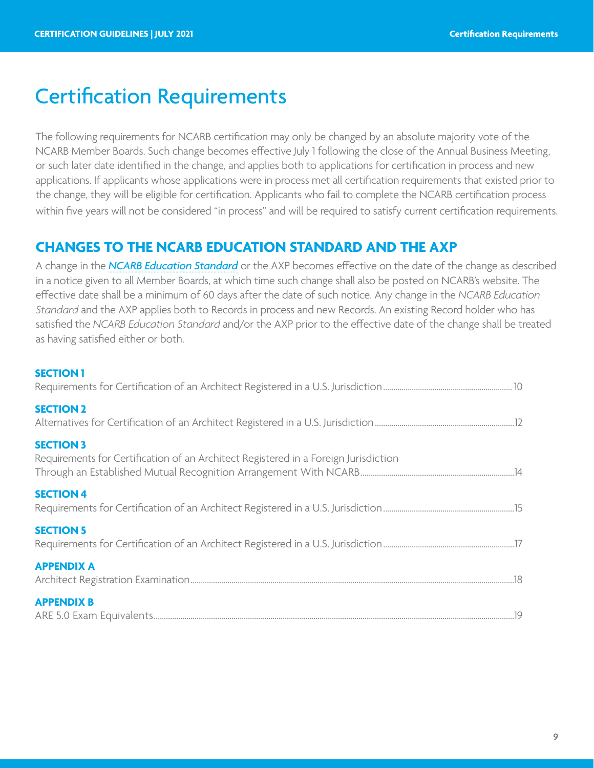## <span id="page-8-0"></span>Certification Requirements

The following requirements for NCARB certification may only be changed by an absolute majority vote of the NCARB Member Boards. Such change becomes effective July 1 following the close of the Annual Business Meeting, or such later date identified in the change, and applies both to applications for certification in process and new applications. If applicants whose applications were in process met all certification requirements that existed prior to the change, they will be eligible for certification. Applicants who fail to complete the NCARB certification process within five years will not be considered "in process" and will be required to satisfy current certification requirements.

## **CHANGES TO THE NCARB EDUCATION STANDARD AND THE AXP**

A change in the *[NCARB Education Standard](https://www.ncarb.org/sites/default/files/Main%20Website/Data%20&%20Resources/Guidelines/EducationGuidelines.pdf)* or the AXP becomes effective on the date of the change as described in a notice given to all Member Boards, at which time such change shall also be posted on NCARB's website. The effective date shall be a minimum of 60 days after the date of such notice. Any change in the *NCARB Education Standard* and the AXP applies both to Records in process and new Records. An existing Record holder who has satisfied the *NCARB Education Standard* and/or the AXP prior to the effective date of the change shall be treated as having satisfied either or both.

### **[SECTION 1](#page-9-0)**

| <b>SECTION 2</b>                                                                                        |
|---------------------------------------------------------------------------------------------------------|
| <b>SECTION 3</b><br>Requirements for Certification of an Architect Registered in a Foreign Jurisdiction |
| <b>SECTION 4</b>                                                                                        |
| <b>SECTION 5</b>                                                                                        |
| <b>APPENDIX A</b>                                                                                       |
| <b>APPENDIX B</b>                                                                                       |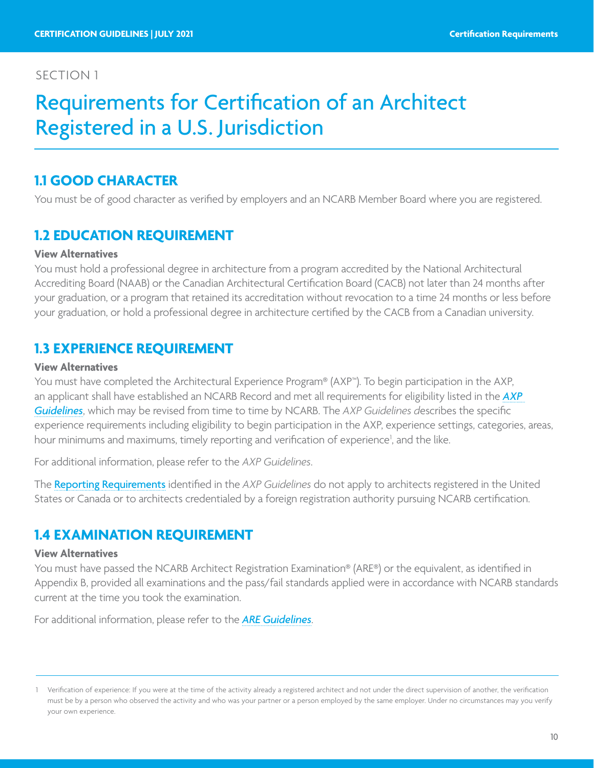## <span id="page-9-0"></span>Requirements for Certification of an Architect Registered in a U.S. Jurisdiction

### **1.1 GOOD CHARACTER**

You must be of good character as verified by employers and an NCARB Member Board where you are registered.

## **1.2 EDUCATION REQUIREMENT**

### **View Alternatives**

You must hold a professional degree in architecture from a program accredited by the National Architectural Accrediting Board (NAAB) or the Canadian Architectural Certification Board (CACB) not later than 24 months after your graduation, or a program that retained its accreditation without revocation to a time 24 months or less before your graduation, or hold a professional degree in architecture certified by the CACB from a Canadian university.

### **1.3 EXPERIENCE REQUIREMENT**

### **View Alternatives**

You must have completed the Architectural Experience Program® (AXP™). To begin participation in the AXP, an applicant shall have established an NCARB Record and met all requirements for eligibility listed in the *[AXP](http://www.ncarb.org/Publications/~/media/Files/PDF/Guidelines/AXP-Guidelines.pdf)  [Guidelines](http://www.ncarb.org/Publications/~/media/Files/PDF/Guidelines/AXP-Guidelines.pdf)*, which may be revised from time to time by NCARB. The *AXP Guidelines d*escribes the specific experience requirements including eligibility to begin participation in the AXP, experience settings, categories, areas, hour minimums and maximums, timely reporting and verification of experience<sup>1</sup>, and the like.

For additional information, please refer to the *AXP Guidelines*.

The [Reporting Requirements](https://www.ncarb.org/gain-axp-experience/record-experience/hourly-reporting/reporting-requirement) identified in the *AXP Guidelines* do not apply to architects registered in the United States or Canada or to architects credentialed by a foreign registration authority pursuing NCARB certification.

### **1.4 EXAMINATION REQUIREMENT**

#### **View Alternatives**

You must have passed the NCARB Architect Registration Examination® (ARE®) or the equivalent, as identified in Appendix B, provided all examinations and the pass/fail standards applied were in accordance with NCARB standards current at the time you took the examination.

For additional information, please refer to the *[ARE Guidelines](https://www.ncarb.org/sites/default/files/ARE-5-Guidelines.pdf)*.

<sup>1</sup> Verification of experience: If you were at the time of the activity already a registered architect and not under the direct supervision of another, the verification must be by a person who observed the activity and who was your partner or a person employed by the same employer. Under no circumstances may you verify your own experience.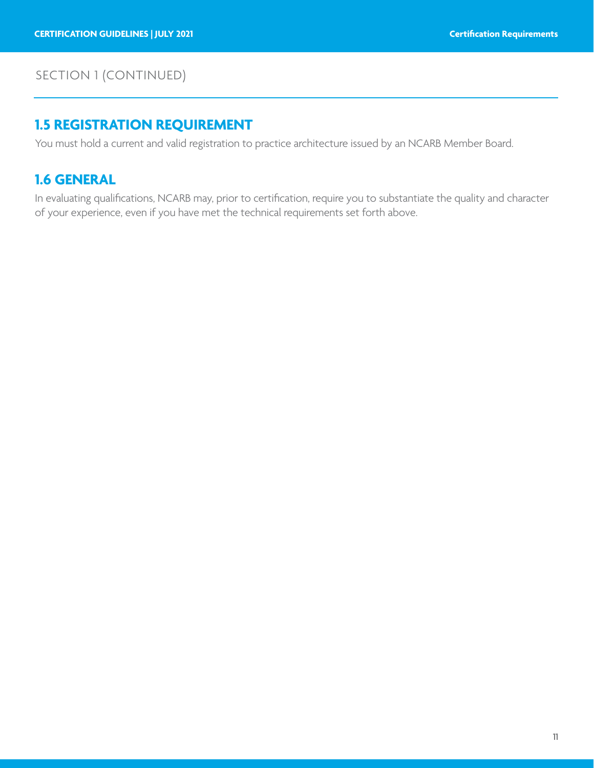## SECTION 1 (CONTINUED)

## **1.5 REGISTRATION REQUIREMENT**

You must hold a current and valid registration to practice architecture issued by an NCARB Member Board.

## **1.6 GENERAL**

In evaluating qualifications, NCARB may, prior to certification, require you to substantiate the quality and character of your experience, even if you have met the technical requirements set forth above.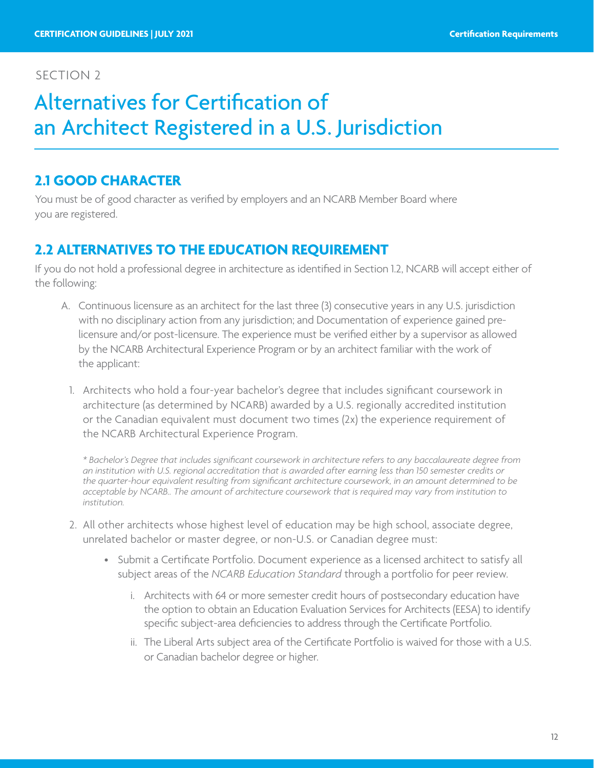## <span id="page-11-0"></span>Alternatives for Certification of an Architect Registered in a U.S. Jurisdiction

## **2.1 GOOD CHARACTER**

You must be of good character as verified by employers and an NCARB Member Board where you are registered.

## **2.2 ALTERNATIVES TO THE EDUCATION REQUIREMENT**

If you do not hold a professional degree in architecture as identified in Section 1.2, NCARB will accept either of the following:

- A. Continuous licensure as an architect for the last three (3) consecutive years in any U.S. jurisdiction with no disciplinary action from any jurisdiction; and Documentation of experience gained prelicensure and/or post-licensure. The experience must be verified either by a supervisor as allowed by the NCARB Architectural Experience Program or by an architect familiar with the work of the applicant:
	- 1. Architects who hold a four-year bachelor's degree that includes significant coursework in architecture (as determined by NCARB) awarded by a U.S. regionally accredited institution or the Canadian equivalent must document two times (2x) the experience requirement of the NCARB Architectural Experience Program.

*\* Bachelor's Degree that includes significant coursework in architecture refers to any baccalaureate degree from an institution with U.S. regional accreditation that is awarded after earning less than 150 semester credits or the quarter-hour equivalent resulting from significant architecture coursework, in an amount determined to be acceptable by NCARB.. The amount of architecture coursework that is required may vary from institution to institution.*

- 2. All other architects whose highest level of education may be high school, associate degree, unrelated bachelor or master degree, or non-U.S. or Canadian degree must:
	- Submit a Certificate Portfolio. Document experience as a licensed architect to satisfy all subject areas of the *NCARB Education Standard* through a portfolio for peer review.
		- i. Architects with 64 or more semester credit hours of postsecondary education have the option to obtain an Education Evaluation Services for Architects (EESA) to identify specific subject-area deficiencies to address through the Certificate Portfolio.
		- ii. The Liberal Arts subject area of the Certificate Portfolio is waived for those with a U.S. or Canadian bachelor degree or higher.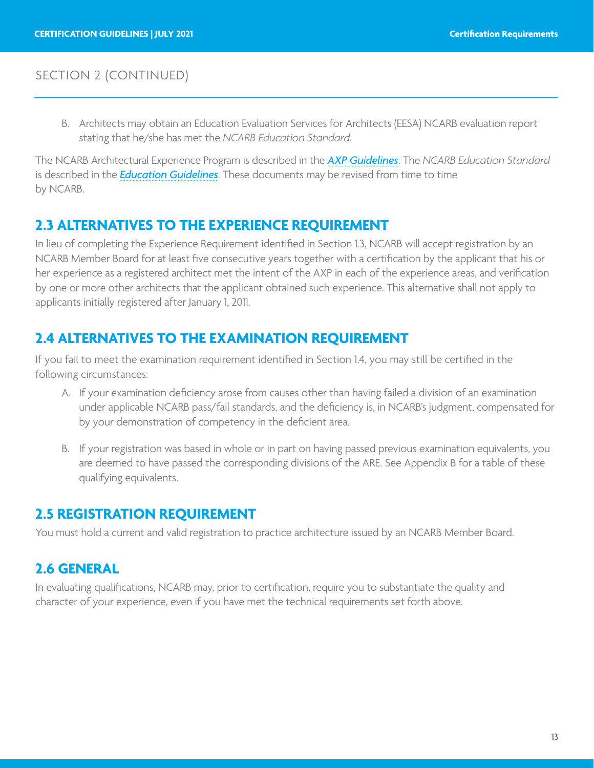### SECTION 2 (CONTINUED)

B. Architects may obtain an Education Evaluation Services for Architects (EESA) NCARB evaluation report stating that he/she has met the *NCARB Education Standard.*

The NCARB Architectural Experience Program is described in the *[AXP Guidelines](http://www.ncarb.org/Publications/~/media/Files/PDF/Guidelines/AXP-Guidelines.pdf)*. The *NCARB Education Standard* is described in the *[Education Guidelines](https://www.ncarb.org/sites/default/files/Main%20Website/Data%20&%20Resources/Guidelines/EducationGuidelines.pdf)*. These documents may be revised from time to time by NCARB.

### **2.3 ALTERNATIVES TO THE EXPERIENCE REQUIREMENT**

In lieu of completing the Experience Requirement identified in Section 1.3, NCARB will accept registration by an NCARB Member Board for at least five consecutive years together with a certification by the applicant that his or her experience as a registered architect met the intent of the AXP in each of the experience areas, and verification by one or more other architects that the applicant obtained such experience. This alternative shall not apply to applicants initially registered after January 1, 2011.

### **2.4 ALTERNATIVES TO THE EXAMINATION REQUIREMENT**

If you fail to meet the examination requirement identified in Section 1.4, you may still be certified in the following circumstances:

- A. If your examination deficiency arose from causes other than having failed a division of an examination under applicable NCARB pass/fail standards, and the deficiency is, in NCARB's judgment, compensated for by your demonstration of competency in the deficient area.
- B. If your registration was based in whole or in part on having passed previous examination equivalents, you are deemed to have passed the corresponding divisions of the ARE. See Appendix B for a table of these qualifying equivalents.

### **2.5 REGISTRATION REQUIREMENT**

You must hold a current and valid registration to practice architecture issued by an NCARB Member Board.

## **2.6 GENERAL**

In evaluating qualifications, NCARB may, prior to certification, require you to substantiate the quality and character of your experience, even if you have met the technical requirements set forth above.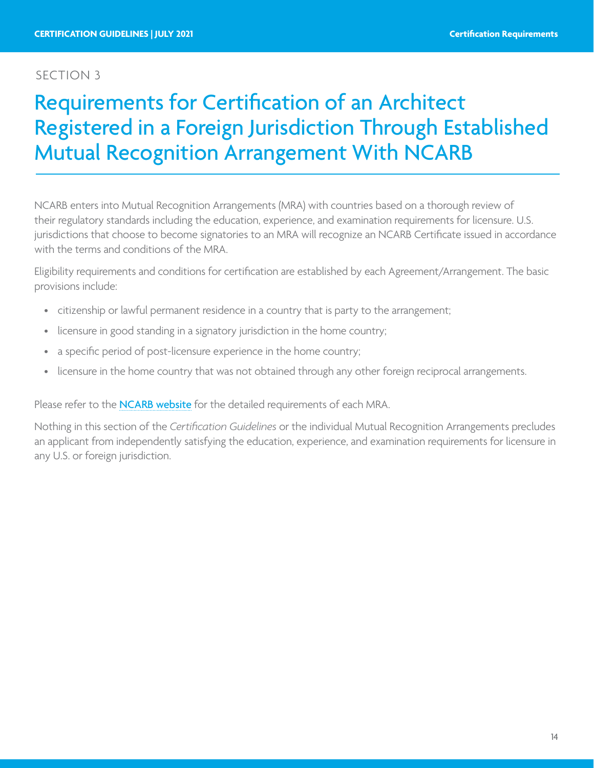## <span id="page-13-0"></span>Requirements for Certification of an Architect Registered in a Foreign Jurisdiction Through Established Mutual Recognition Arrangement With NCARB

NCARB enters into Mutual Recognition Arrangements (MRA) with countries based on a thorough review of their regulatory standards including the education, experience, and examination requirements for licensure. U.S. jurisdictions that choose to become signatories to an MRA will recognize an NCARB Certificate issued in accordance with the terms and conditions of the MRA.

Eligibility requirements and conditions for certification are established by each Agreement/Arrangement. The basic provisions include:

- citizenship or lawful permanent residence in a country that is party to the arrangement;
- licensure in good standing in a signatory jurisdiction in the home country;
- a specific period of post-licensure experience in the home country;
- licensure in the home country that was not obtained through any other foreign reciprocal arrangements.

Please refer to the **[NCARB website](http://www.ncarb.org/Certification-and-Reciprocity/International-Programs.aspx)** for the detailed requirements of each MRA.

Nothing in this section of the *Certification Guidelines* or the individual Mutual Recognition Arrangements precludes an applicant from independently satisfying the education, experience, and examination requirements for licensure in any U.S. or foreign jurisdiction.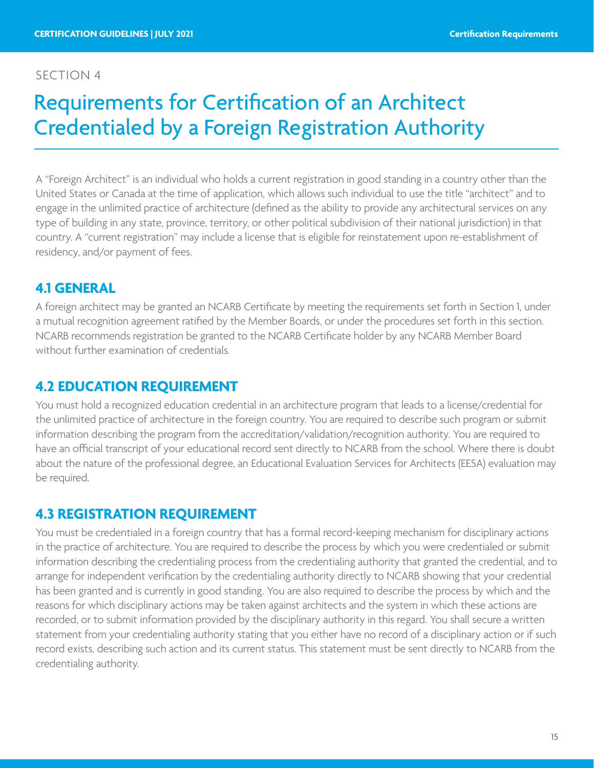## <span id="page-14-0"></span>Requirements for Certification of an Architect Credentialed by a Foreign Registration Authority

A "Foreign Architect" is an individual who holds a current registration in good standing in a country other than the United States or Canada at the time of application, which allows such individual to use the title "architect" and to engage in the unlimited practice of architecture (defined as the ability to provide any architectural services on any type of building in any state, province, territory, or other political subdivision of their national jurisdiction) in that country. A "current registration" may include a license that is eligible for reinstatement upon re-establishment of residency, and/or payment of fees.

## **4.1 GENERAL**

A foreign architect may be granted an NCARB Certificate by meeting the requirements set forth in Section 1, under a mutual recognition agreement ratified by the Member Boards, or under the procedures set forth in this section. NCARB recommends registration be granted to the NCARB Certificate holder by any NCARB Member Board without further examination of credentials.

## **4.2 EDUCATION REQUIREMENT**

You must hold a recognized education credential in an architecture program that leads to a license/credential for the unlimited practice of architecture in the foreign country. You are required to describe such program or submit information describing the program from the accreditation/validation/recognition authority. You are required to have an official transcript of your educational record sent directly to NCARB from the school. Where there is doubt about the nature of the professional degree, an Educational Evaluation Services for Architects (EESA) evaluation may be required.

### **4.3 REGISTRATION REQUIREMENT**

You must be credentialed in a foreign country that has a formal record-keeping mechanism for disciplinary actions in the practice of architecture. You are required to describe the process by which you were credentialed or submit information describing the credentialing process from the credentialing authority that granted the credential, and to arrange for independent verification by the credentialing authority directly to NCARB showing that your credential has been granted and is currently in good standing. You are also required to describe the process by which and the reasons for which disciplinary actions may be taken against architects and the system in which these actions are recorded, or to submit information provided by the disciplinary authority in this regard. You shall secure a written statement from your credentialing authority stating that you either have no record of a disciplinary action or if such record exists, describing such action and its current status. This statement must be sent directly to NCARB from the credentialing authority.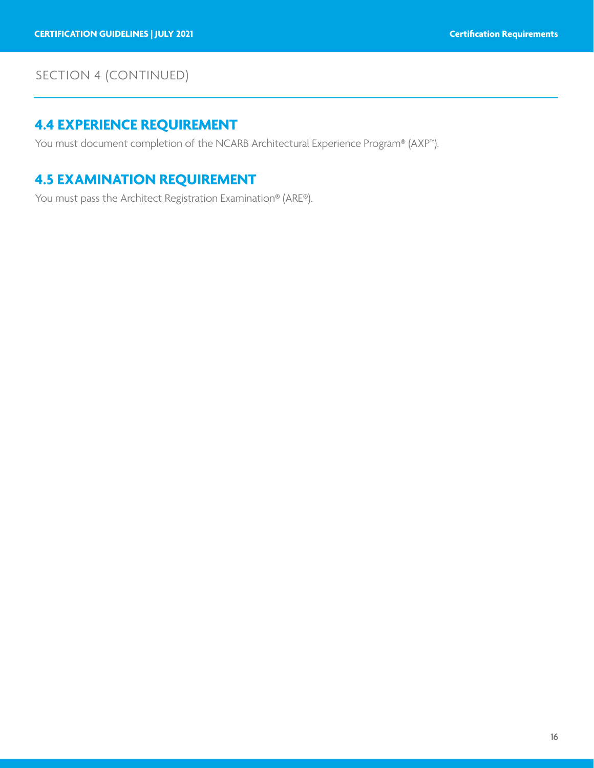## SECTION 4 (CONTINUED)

## **4.4 EXPERIENCE REQUIREMENT**

You must document completion of the NCARB Architectural Experience Program® (AXP™).

## **4.5 EXAMINATION REQUIREMENT**

You must pass the Architect Registration Examination® (ARE®).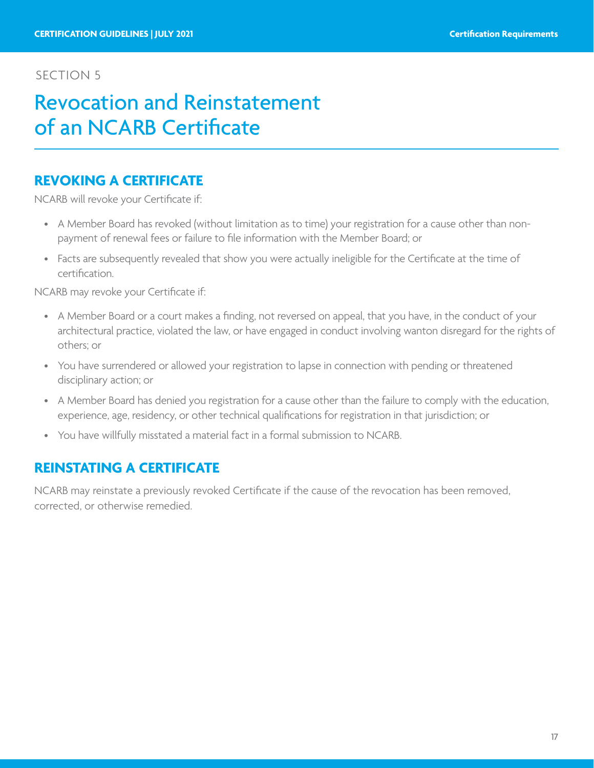## <span id="page-16-0"></span>Revocation and Reinstatement of an NCARB Certificate

### **REVOKING A CERTIFICATE**

NCARB will revoke your Certificate if:

- A Member Board has revoked (without limitation as to time) your registration for a cause other than nonpayment of renewal fees or failure to file information with the Member Board; or
- Facts are subsequently revealed that show you were actually ineligible for the Certificate at the time of certification.

NCARB may revoke your Certificate if:

- A Member Board or a court makes a finding, not reversed on appeal, that you have, in the conduct of your architectural practice, violated the law, or have engaged in conduct involving wanton disregard for the rights of others; or
- You have surrendered or allowed your registration to lapse in connection with pending or threatened disciplinary action; or
- A Member Board has denied you registration for a cause other than the failure to comply with the education, experience, age, residency, or other technical qualifications for registration in that jurisdiction; or
- You have willfully misstated a material fact in a formal submission to NCARB.

## **REINSTATING A CERTIFICATE**

NCARB may reinstate a previously revoked Certificate if the cause of the revocation has been removed, corrected, or otherwise remedied.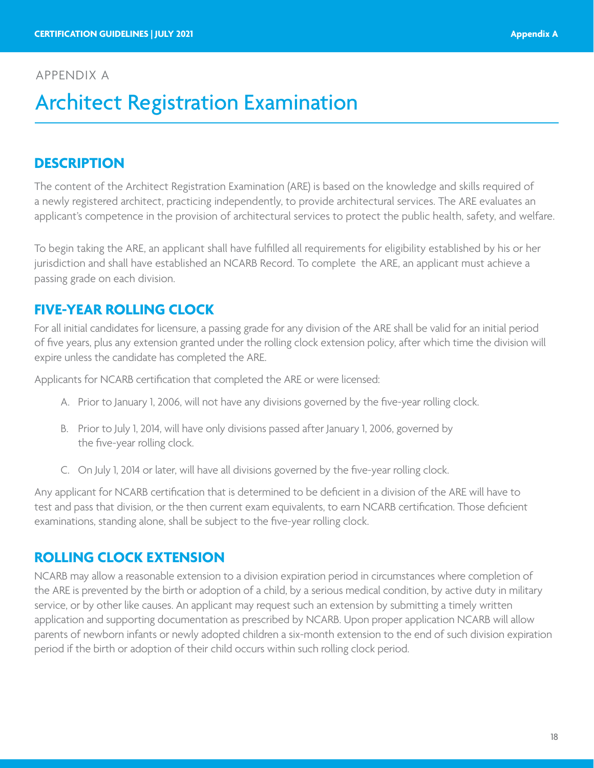### <span id="page-17-0"></span>APPENDIX A

## Architect Registration Examination

## **DESCRIPTION**

The content of the Architect Registration Examination (ARE) is based on the knowledge and skills required of a newly registered architect, practicing independently, to provide architectural services. The ARE evaluates an applicant's competence in the provision of architectural services to protect the public health, safety, and welfare.

To begin taking the ARE, an applicant shall have fulfilled all requirements for eligibility established by his or her jurisdiction and shall have established an NCARB Record. To complete the ARE, an applicant must achieve a passing grade on each division.

## **FIVE-YEAR ROLLING CLOCK**

For all initial candidates for licensure, a passing grade for any division of the ARE shall be valid for an initial period of five years, plus any extension granted under the rolling clock extension policy, after which time the division will expire unless the candidate has completed the ARE.

Applicants for NCARB certification that completed the ARE or were licensed:

- A. Prior to January 1, 2006, will not have any divisions governed by the five-year rolling clock.
- B. Prior to July 1, 2014, will have only divisions passed after January 1, 2006, governed by the five-year rolling clock.
- C. On July 1, 2014 or later, will have all divisions governed by the five-year rolling clock.

Any applicant for NCARB certification that is determined to be deficient in a division of the ARE will have to test and pass that division, or the then current exam equivalents, to earn NCARB certification. Those deficient examinations, standing alone, shall be subject to the five-year rolling clock.

## **ROLLING CLOCK EXTENSION**

NCARB may allow a reasonable extension to a division expiration period in circumstances where completion of the ARE is prevented by the birth or adoption of a child, by a serious medical condition, by active duty in military service, or by other like causes. An applicant may request such an extension by submitting a timely written application and supporting documentation as prescribed by NCARB. Upon proper application NCARB will allow parents of newborn infants or newly adopted children a six-month extension to the end of such division expiration period if the birth or adoption of their child occurs within such rolling clock period.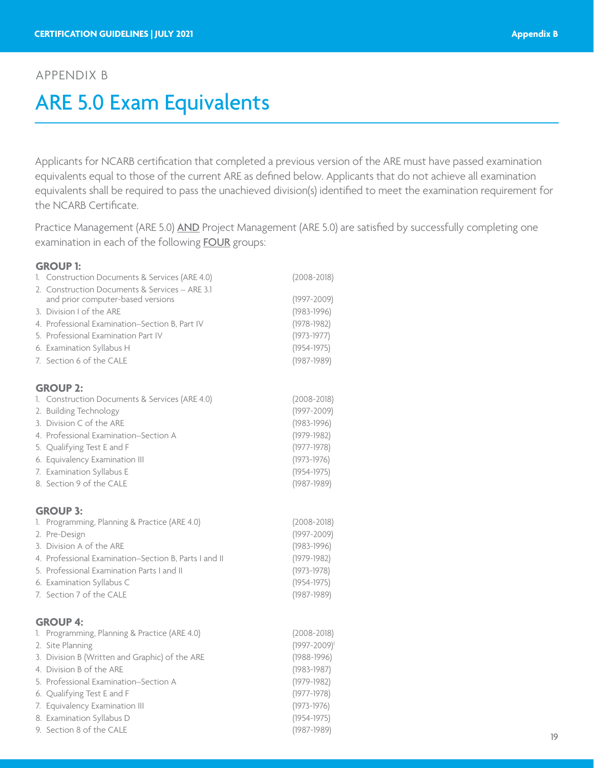### <span id="page-18-0"></span>APPENDIX B

## ARE 5.0 Exam Equivalents

Applicants for NCARB certification that completed a previous version of the ARE must have passed examination equivalents equal to those of the current ARE as defined below. Applicants that do not achieve all examination equivalents shall be required to pass the unachieved division(s) identified to meet the examination requirement for the NCARB Certificate.

Practice Management (ARE 5.0) AND Project Management (ARE 5.0) are satisfied by successfully completing one examination in each of the following **FOUR** groups:

#### **GROUP 1:**

| 1. Construction Documents & Services (ARE 4.0)        | $(2008 - 2018)$   |
|-------------------------------------------------------|-------------------|
| 2. Construction Documents & Services - ARE 3.1        |                   |
| and prior computer-based versions                     | $(1997 - 2009)$   |
| 3. Division I of the ARE                              | $(1983 - 1996)$   |
| 4. Professional Examination-Section B, Part IV        | $(1978 - 1982)$   |
| 5. Professional Examination Part IV                   | $(1973 - 1977)$   |
| 6. Examination Syllabus H                             | $(1954 - 1975)$   |
| 7. Section 6 of the CALE                              | $(1987 - 1989)$   |
| <b>GROUP 2:</b>                                       |                   |
| 1. Construction Documents & Services (ARE 4.0)        | $(2008 - 2018)$   |
| 2. Building Technology                                | $(1997 - 2009)$   |
| 3. Division C of the ARE                              | $(1983 - 1996)$   |
| 4. Professional Examination–Section A                 | $(1979 - 1982)$   |
| 5. Qualifying Test E and F                            | $(1977 - 1978)$   |
| 6. Equivalency Examination III                        | $(1973 - 1976)$   |
| 7. Examination Syllabus E                             | $(1954 - 1975)$   |
| 8. Section 9 of the CALE                              | $(1987 - 1989)$   |
| <b>GROUP 3:</b>                                       |                   |
| 1. Programming, Planning & Practice (ARE 4.0)         | $(2008 - 2018)$   |
| 2. Pre-Design                                         | $(1997 - 2009)$   |
| 3. Division A of the ARE                              | $(1983 - 1996)$   |
| 4. Professional Examination-Section B, Parts I and II | $(1979 - 1982)$   |
| 5. Professional Examination Parts I and II            | $(1973 - 1978)$   |
| 6. Examination Syllabus C                             | $(1954 - 1975)$   |
| 7. Section 7 of the CALE                              | $(1987 - 1989)$   |
| <b>GROUP 4:</b>                                       |                   |
| 1. Programming, Planning & Practice (ARE 4.0)         | $(2008 - 2018)$   |
| 2. Site Planning                                      | $(1997 - 2009)^1$ |
| 3. Division B (Written and Graphic) of the ARE        | $(1988 - 1996)$   |
| 4. Division B of the ARE                              | $(1983 - 1987)$   |
| 5. Professional Examination-Section A                 | $(1979 - 1982)$   |
| 6. Qualifying Test E and F                            | $(1977 - 1978)$   |
| 7. Equivalency Examination III                        | $(1973 - 1976)$   |
| 8. Examination Syllabus D                             | $(1954 - 1975)$   |
| 9. Section 8 of the CALE                              | $(1987 - 1989)$   |
|                                                       |                   |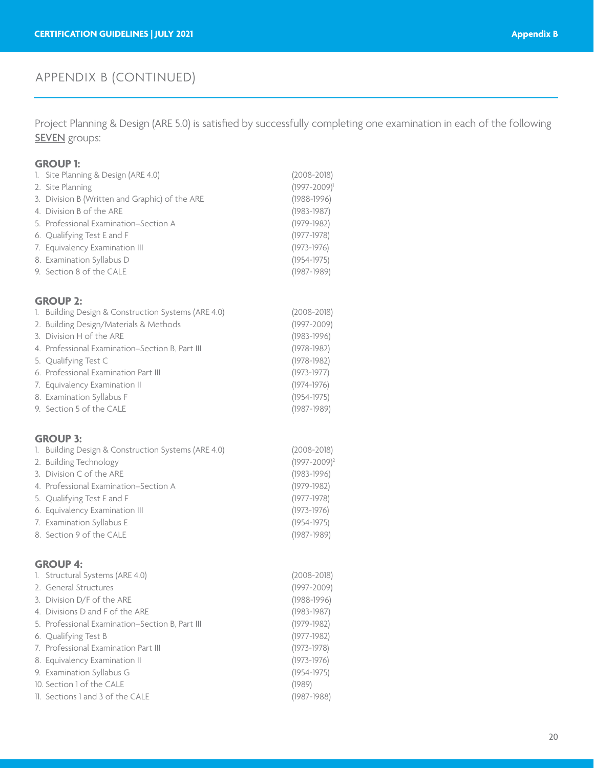Project Planning & Design (ARE 5.0) is satisfied by successfully completing one examination in each of the following **SEVEN** groups:

#### **GROUP 1:**

| 1. Site Planning & Design (ARE 4.0)            | $(2008 - 2018)$ |
|------------------------------------------------|-----------------|
| 2. Site Planning                               | $(1997 - 2009)$ |
| 3. Division B (Written and Graphic) of the ARE | $(1988 - 1996)$ |
| 4. Division B of the ARE                       | $(1983 - 1987)$ |
| 5. Professional Examination–Section A          | $(1979 - 1982)$ |
| 6. Qualifying Test E and F                     | $(1977 - 1978)$ |
| 7. Equivalency Examination III                 | $(1973 - 1976)$ |
| 8. Examination Syllabus D                      | $(1954 - 1975)$ |
| 9. Section 8 of the CALE                       | $(1987 - 1989)$ |

#### **GROUP 2:**

| UNUUF 4.                                            |                 |
|-----------------------------------------------------|-----------------|
| 1. Building Design & Construction Systems (ARE 4.0) | $(2008 - 2018)$ |
| 2. Building Design/Materials & Methods              | $(1997 - 2009)$ |
| 3. Division H of the ARE                            | $(1983 - 1996)$ |
| 4. Professional Examination-Section B, Part III     | $(1978 - 1982)$ |
| 5. Qualifying Test C                                | $(1978 - 1982)$ |
| 6. Professional Examination Part III                | $(1973 - 1977)$ |
| 7. Equivalency Examination II                       | $(1974 - 1976)$ |
| 8. Examination Syllabus F                           | $(1954 - 1975)$ |
| 9. Section 5 of the CALE                            | $(1987 - 1989)$ |
|                                                     |                 |

#### **GROUP 3:**

| 1. Building Design & Construction Systems (ARE 4.0) | $(2008 - 2018)$   |
|-----------------------------------------------------|-------------------|
| 2. Building Technology                              | $(1997 - 2009)^2$ |
| 3. Division C of the ARE                            | $(1983 - 1996)$   |
| 4. Professional Examination–Section A               | $(1979 - 1982)$   |
| 5. Qualifying Test E and F                          | $(1977 - 1978)$   |
| 6. Equivalency Examination III                      | $(1973 - 1976)$   |
| 7. Examination Syllabus E                           | $(1954 - 1975)$   |
| 8. Section 9 of the CALE                            | $(1987 - 1989)$   |

#### **GROUP 4:**

| 1. Structural Systems (ARE 4.0)                 | $(2008 - 2018)$ |
|-------------------------------------------------|-----------------|
| 2. General Structures                           | $(1997 - 2009)$ |
| 3. Division D/F of the ARE                      | $(1988 - 1996)$ |
| 4. Divisions D and F of the ARE                 | $(1983 - 1987)$ |
| 5. Professional Examination–Section B, Part III | $(1979 - 1982)$ |
| 6. Qualifying Test B                            | $(1977 - 1982)$ |
| 7. Professional Examination Part III            | $(1973 - 1978)$ |
| 8. Equivalency Examination II                   | $(1973 - 1976)$ |
| 9. Examination Syllabus G                       | $(1954 - 1975)$ |
| 10. Section 1 of the CALE                       | (1989)          |
| 11. Sections 1 and 3 of the CALE                | (1987-1988)     |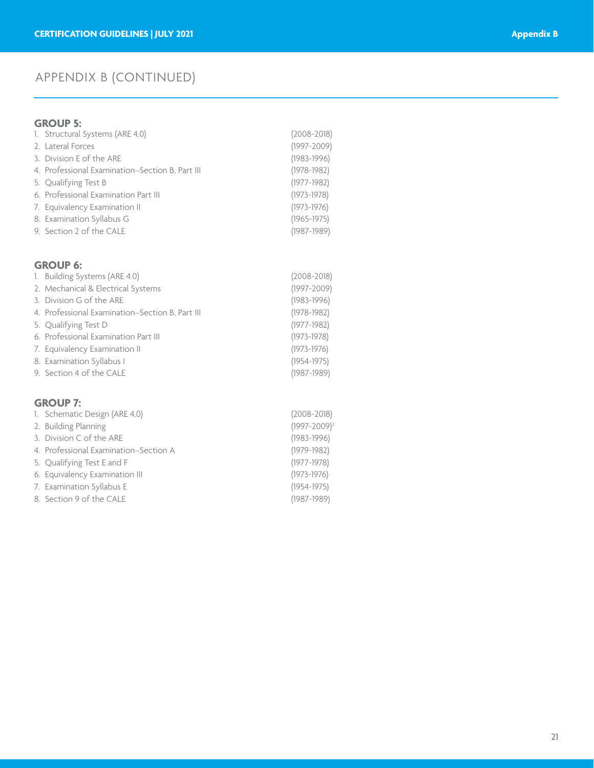### **GROUP 5:**

| 1. Structural Systems (ARE 4.0)                 | $(2008 - 2018)$ |
|-------------------------------------------------|-----------------|
| 2. Lateral Forces                               | $(1997 - 2009)$ |
| 3. Division E of the ARE                        | $(1983 - 1996)$ |
| 4. Professional Examination–Section B, Part III | $(1978 - 1982)$ |
| 5. Qualifying Test B                            | $(1977 - 1982)$ |
| 6. Professional Examination Part III            | $(1973 - 1978)$ |
| 7. Equivalency Examination II                   | $(1973 - 1976)$ |
| 8. Examination Syllabus G                       | $(1965 - 1975)$ |
| 9. Section 2 of the CALE                        | $(1987 - 1989)$ |

### **GROUP 6:**

| 1. Building Systems (ARE 4.0)                   | $(2008 - 2018)$ |
|-------------------------------------------------|-----------------|
| 2. Mechanical & Electrical Systems              | $(1997 - 2009)$ |
| 3. Division G of the ARE                        | $(1983 - 1996)$ |
| 4. Professional Examination-Section B, Part III | $(1978 - 1982)$ |
| 5. Qualifying Test D                            | $(1977 - 1982)$ |
| 6. Professional Examination Part III            | $(1973 - 1978)$ |
| 7. Equivalency Examination II                   | $(1973 - 1976)$ |
| 8. Examination Syllabus I                       | $(1954 - 1975)$ |
| 9. Section 4 of the CALE                        | $(1987 - 1989)$ |
|                                                 |                 |

### **GROUP 7:**

| 1. Schematic Design (ARE 4.0)         | $(2008 - 2018)$   |
|---------------------------------------|-------------------|
| 2. Building Planning                  | $(1997 - 2009)^2$ |
| 3. Division C of the ARE              | $(1983 - 1996)$   |
| 4. Professional Examination–Section A | $(1979 - 1982)$   |
| 5. Qualifying Test E and F            | $(1977 - 1978)$   |
| 6. Equivalency Examination III        | $(1973 - 1976)$   |
| 7. Examination Syllabus E             | $(1954 - 1975)$   |
| 8. Section 9 of the CALE              | $(1987 - 1989)$   |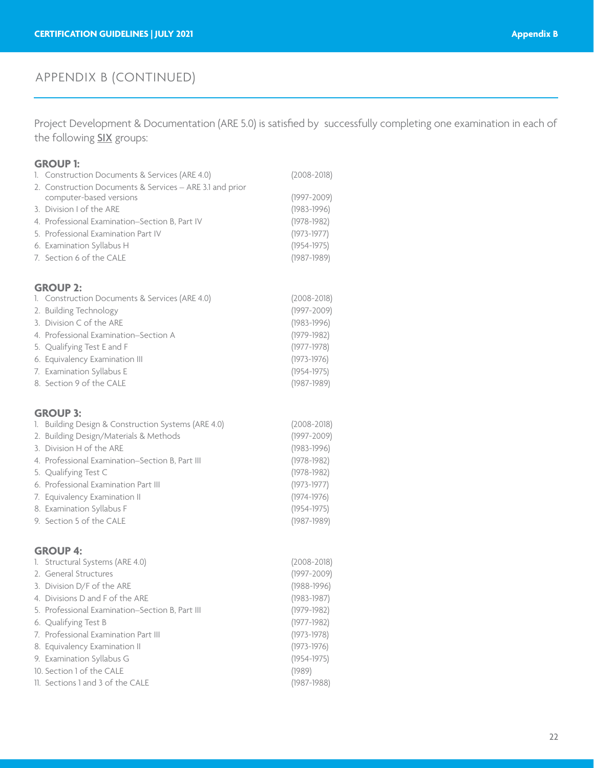Project Development & Documentation (ARE 5.0) is satisfied by successfully completing one examination in each of the following **SIX** groups:

#### **GROUP 1:**

| 1. Construction Documents & Services (ARE 4.0)                                      | $(2008 - 2018)$ |
|-------------------------------------------------------------------------------------|-----------------|
| 2. Construction Documents & Services - ARE 3.1 and prior<br>computer-based versions | $(1997 - 2009)$ |
| 3. Division I of the ARE                                                            | $(1983 - 1996)$ |
| 4. Professional Examination–Section B, Part IV                                      | $(1978 - 1982)$ |
| 5. Professional Examination Part IV                                                 | $(1973 - 1977)$ |
| 6. Examination Syllabus H                                                           | $(1954 - 1975)$ |
| 7. Section 6 of the CALE                                                            | $(1987 - 1989)$ |
|                                                                                     |                 |

### **GROUP 2:**

| 1. Construction Documents & Services (ARE 4.0) | $(2008 - 2018)$ |
|------------------------------------------------|-----------------|
| 2. Building Technology                         | $(1997 - 2009)$ |
| 3. Division C of the ARE                       | $(1983 - 1996)$ |
| 4. Professional Examination–Section A          | $(1979 - 1982)$ |
| 5. Qualifying Test E and F                     | $(1977 - 1978)$ |
| 6. Equivalency Examination III                 | $(1973 - 1976)$ |
| 7. Examination Syllabus E                      | $(1954 - 1975)$ |
| 8. Section 9 of the CALE                       | $(1987 - 1989)$ |
|                                                |                 |

#### **GROUP 3:**

| ------                                              |                 |
|-----------------------------------------------------|-----------------|
| 1. Building Design & Construction Systems (ARE 4.0) | $(2008 - 2018)$ |
| 2. Building Design/Materials & Methods              | $(1997 - 2009)$ |
| 3. Division H of the ARE                            | $(1983 - 1996)$ |
| 4. Professional Examination–Section B, Part III     | $(1978 - 1982)$ |
| 5. Qualifying Test C                                | $(1978 - 1982)$ |
| 6. Professional Examination Part III                | $(1973 - 1977)$ |
| 7. Equivalency Examination II                       | $(1974 - 1976)$ |
| 8. Examination Syllabus F                           | $(1954 - 1975)$ |
| 9. Section 5 of the CALE                            | $(1987 - 1989)$ |

#### **GROUP 4:**

| 1. Structural Systems (ARE 4.0)                 | $(2008 - 2018)$ |
|-------------------------------------------------|-----------------|
| 2. General Structures                           | $(1997 - 2009)$ |
| 3. Division D/F of the ARE                      | $(1988 - 1996)$ |
| 4. Divisions D and F of the ARE                 | $(1983 - 1987)$ |
| 5. Professional Examination-Section B, Part III | $(1979 - 1982)$ |
| 6. Qualifying Test B                            | $(1977 - 1982)$ |
| 7. Professional Examination Part III            | $(1973 - 1978)$ |
| 8. Equivalency Examination II                   | $(1973 - 1976)$ |
| 9. Examination Syllabus G                       | $(1954 - 1975)$ |
| 10. Section 1 of the CALE                       | (1989)          |
| 11. Sections 1 and 3 of the CALE                | $(1987 - 1988)$ |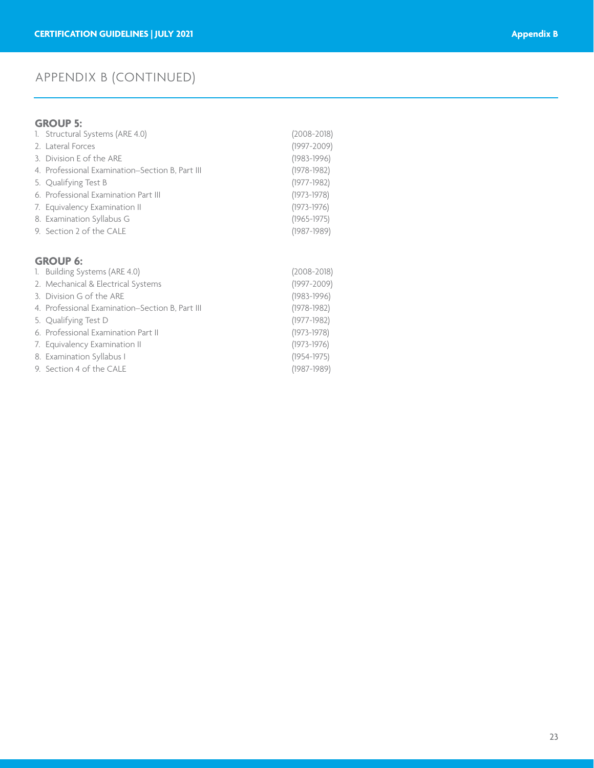### **GROUP 5:**

| 1. Structural Systems (ARE 4.0)                 | $(2008 - 2018)$ |
|-------------------------------------------------|-----------------|
| 2. Lateral Forces                               | $(1997 - 2009)$ |
| 3. Division E of the ARE                        | $(1983 - 1996)$ |
| 4. Professional Examination-Section B, Part III | $(1978 - 1982)$ |
| 5. Qualifying Test B                            | $(1977 - 1982)$ |
| 6. Professional Examination Part III            | $(1973 - 1978)$ |
| 7. Equivalency Examination II                   | $(1973 - 1976)$ |
| 8. Examination Syllabus G                       | $(1965 - 1975)$ |
| 9. Section 2 of the CALE                        | $(1987 - 1989)$ |
|                                                 |                 |

### **GROUP 6:**

| 1. Building Systems (ARE 4.0)                   | $(2008 - 2018)$ |
|-------------------------------------------------|-----------------|
| 2. Mechanical & Electrical Systems              | $(1997 - 2009)$ |
| 3. Division G of the ARE                        | $(1983 - 1996)$ |
| 4. Professional Examination–Section B, Part III | $(1978 - 1982)$ |
| 5. Qualifying Test D                            | $(1977 - 1982)$ |
| 6. Professional Examination Part II             | $(1973 - 1978)$ |
| 7. Equivalency Examination II                   | $(1973 - 1976)$ |
| 8. Examination Syllabus I                       | $(1954 - 1975)$ |
| 9. Section 4 of the CALE                        | $(1987 - 1989)$ |